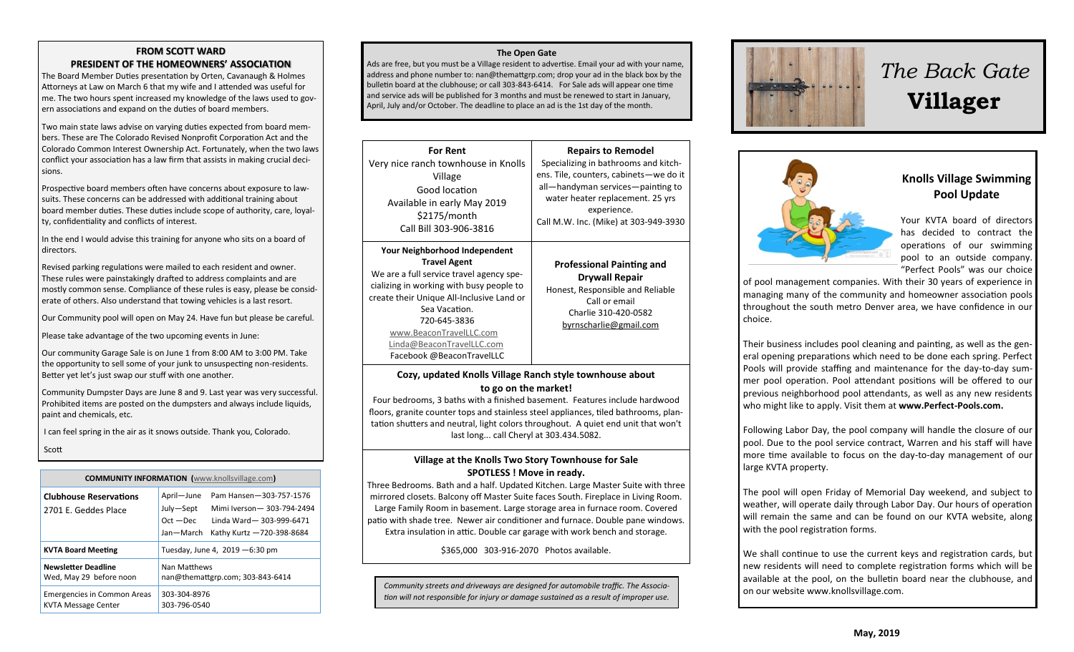### **FROM SCOTT WARD PRESIDENT OF THE HOMEOWNERS' ASSOCIATION**

The Board Member Duties presentation by Orten, Cavanaugh & Holmes Attorneys at Law on March 6 that my wife and I attended was useful for me. The two hours spent increased my knowledge of the laws used to govern associations and expand on the duties of board members.

Two main state laws advise on varying duties expected from board members. These are The Colorado Revised Nonprofit Corporation Act and the Colorado Common Interest Ownership Act. Fortunately, when the two laws conflict your association has a law firm that assists in making crucial decisions.

Prospective board members often have concerns about exposure to lawsuits. These concerns can be addressed with additional training about board member duties. These duties include scope of authority, care, loyalty, confidentiality and conflicts of interest.

In the end I would advise this training for anyone who sits on a board of directors.

Revised parking regulations were mailed to each resident and owner. These rules were painstakingly drafted to address complaints and are mostly common sense. Compliance of these rules is easy, please be considerate of others. Also understand that towing vehicles is a last resort.

Our Community pool will open on May 24. Have fun but please be careful.

Please take advantage of the two upcoming events in June:

Our community Garage Sale is on June 1 from 8:00 AM to 3:00 PM. Take the opportunity to sell some of your junk to unsuspecting non-residents. Better yet let's just swap our stuff with one another.

Community Dumpster Days are June 8 and 9. Last year was very successful. Prohibited items are posted on the dumpsters and always include liquids, paint and chemicals, etc.

I can feel spring in the air as it snows outside. Thank you, Colorado.

Scott

|  | <b>COMMUNITY INFORMATION</b> (www.knollsvillage.com)             |                                                                                                                                                                     |  |
|--|------------------------------------------------------------------|---------------------------------------------------------------------------------------------------------------------------------------------------------------------|--|
|  | <b>Clubhouse Reservations</b><br>2701 E. Geddes Place            | April-June<br>Pam Hansen-303-757-1576<br>July-Sept<br>Mimi Iverson-303-794-2494<br>$Oct - Dec$<br>Linda Ward-303-999-6471<br>Jan-March<br>Kathy Kurtz -720-398-8684 |  |
|  | <b>KVTA Board Meeting</b>                                        | Tuesday, June 4, 2019 - 6:30 pm                                                                                                                                     |  |
|  | <b>Newsletter Deadline</b><br>Wed, May 29 before noon            | Nan Matthews<br>nan@themattgrp.com; 303-843-6414                                                                                                                    |  |
|  | <b>Emergencies in Common Areas</b><br><b>KVTA Message Center</b> | 303-304-8976<br>303-796-0540                                                                                                                                        |  |

### **The Open Gate**

Ads are free, but you must be a Village resident to advertise. Email your ad with your name, address and phone number to: nan@themattgrp.com; drop your ad in the black box by the bulletin board at the clubhouse; or call 303-843-6414. For Sale ads will appear one time and service ads will be published for 3 months and must be renewed to start in January, April, July and/or October. The deadline to place an ad is the 1st day of the month.

| <b>For Rent</b><br>Very nice ranch townhouse in Knolls<br>Village<br>Good location<br>Available in early May 2019<br>\$2175/month<br>Call Bill 303-906-3816<br><b>Your Neighborhood Independent</b><br><b>Travel Agent</b><br>We are a full service travel agency spe-<br>cializing in working with busy people to<br>create their Unique All-Inclusive Land or<br>Sea Vacation.<br>720-645-3836 |                                                                                                                                                                                                                                              |
|--------------------------------------------------------------------------------------------------------------------------------------------------------------------------------------------------------------------------------------------------------------------------------------------------------------------------------------------------------------------------------------------------|----------------------------------------------------------------------------------------------------------------------------------------------------------------------------------------------------------------------------------------------|
|                                                                                                                                                                                                                                                                                                                                                                                                  | <b>Repairs to Remodel</b><br>Specializing in bathrooms and kitch-<br>ens. Tile, counters, cabinets-we do it<br>all-handyman services-painting to<br>water heater replacement. 25 yrs<br>experience.<br>Call M.W. Inc. (Mike) at 303-949-3930 |
| www.BeaconTravelLLC.com<br>Linda@BeaconTravelLLC.com<br>Facebook @BeaconTravelLLC                                                                                                                                                                                                                                                                                                                | <b>Professional Painting and</b><br><b>Drywall Repair</b><br>Honest, Responsible and Reliable<br>Call or email<br>Charlie 310-420-0582<br>byrnscharlie@gmail.com                                                                             |

### **Cozy, updated Knolls Village Ranch style townhouse about to go on the market!**

Four bedrooms, 3 baths with a finished basement. Features include hardwood floors, granite counter tops and stainless steel appliances, tiled bathrooms, plantation shutters and neutral, light colors throughout. A quiet end unit that won't last long... call Cheryl at 303.434.5082.

### **Village at the Knolls Two Story Townhouse for Sale SPOTLESS ! Move in ready.**

Three Bedrooms. Bath and a half. Updated Kitchen. Large Master Suite with three mirrored closets. Balcony off Master Suite faces South. Fireplace in Living Room. Large Family Room in basement. Large storage area in furnace room. Covered patio with shade tree. Newer air conditioner and furnace. Double pane windows. Extra insulation in attic. Double car garage with work bench and storage.

\$365,000 303-916-2070 Photos available.

on our website www.knollsvillage.com. *Community streets and driveways are designed for automobile traffic. The Association will not responsible for injury or damage sustained as a result of improper use.*



# *The Back Gate*  **Villager**



**Knolls Village Swimming Pool Update**

Your KVTA board of directors has decided to contract the operations of our swimming pool to an outside company. "Perfect Pools" was our choice

of pool management companies. With their 30 years of experience in managing many of the community and homeowner association pools throughout the south metro Denver area, we have confidence in our choice.

Their business includes pool cleaning and painting, as well as the general opening preparations which need to be done each spring. Perfect Pools will provide staffing and maintenance for the day-to-day summer pool operation. Pool attendant positions will be offered to our previous neighborhood pool attendants, as well as any new residents who might like to apply. Visit them at **www.Perfect-Pools.com.**

Following Labor Day, the pool company will handle the closure of our pool. Due to the pool service contract, Warren and his staff will have more time available to focus on the day-to-day management of our large KVTA property.

The pool will open Friday of Memorial Day weekend, and subject to weather, will operate daily through Labor Day. Our hours of operation will remain the same and can be found on our KVTA website, along with the pool registration forms.

We shall continue to use the current keys and registration cards, but new residents will need to complete registration forms which will be available at the pool, on the bulletin board near the clubhouse, and